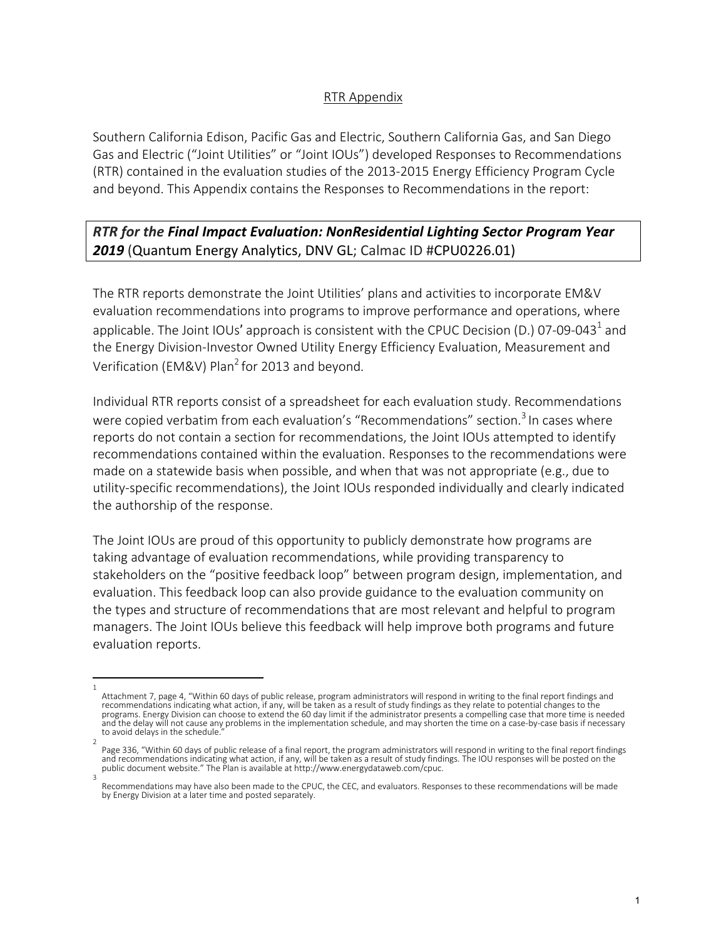## RTR Appendix

Southern California Edison, Pacific Gas and Electric, Southern California Gas, and San Diego Gas and Electric ("Joint Utilities" or "Joint IOUs") developed Responses to Recommendations (RTR) contained in the evaluation studies of the 2013-2015 Energy Efficiency Program Cycle and beyond. This Appendix contains the Responses to Recommendations in the report:

## *RTR for the Final Impact Evaluation: NonResidential Lighting Sector Program Year 2019* (Quantum Energy Analytics, DNV GL; Calmac ID #CPU0226.01)

The RTR reports demonstrate the Joint Utilities' plans and activities to incorporate EM&V evaluation recommendations into programs to improve performance and operations, where applicable. The Joint IOUs' approach is consistent with the CPUC Decision (D.) 07-09-043<sup>1</sup> and the Energy Division-Investor Owned Utility Energy Efficiency Evaluation, Measurement and Verification (EM&V) Plan<sup>2</sup> for 2013 and beyond.

Individual RTR reports consist of a spreadsheet for each evaluation study. Recommendations were copied verbatim from each evaluation's "Recommendations" section.<sup>3</sup> In cases where reports do not contain a section for recommendations, the Joint IOUs attempted to identify recommendations contained within the evaluation. Responses to the recommendations were made on a statewide basis when possible, and when that was not appropriate (e.g., due to utility-specific recommendations), the Joint IOUs responded individually and clearly indicated the authorship of the response.

The Joint IOUs are proud of this opportunity to publicly demonstrate how programs are taking advantage of evaluation recommendations, while providing transparency to stakeholders on the "positive feedback loop" between program design, implementation, and evaluation. This feedback loop can also provide guidance to the evaluation community on the types and structure of recommendations that are most relevant and helpful to program managers. The Joint IOUs believe this feedback will help improve both programs and future evaluation reports.

<sup>1</sup>  Attachment 7, page 4, "Within 60 days of public release, program administrators will respond in writing to the final report findings and recommendations indicating what action, if any, will be taken as a result of study findings as they relate to potential changes to the programs. Energy Division can choose to extend the 60 day limit if the administrator presents a compelling case that more time is needed and the delay will not cause any problems in the implementation schedule, and may shorten the time on a case-by-case basis if necessary to avoid delays in the schedule.

<sup>2</sup>  Page 336, "Within 60 days of public release of a final report, the program administrators will respond in writing to the final report findings and recommendations indicating what action, if any, will be taken as a result of study findings. The IOU responses will be posted on the<br>public document website." The Plan is available at http://www.energydataweb.com/cpuc.

Recommendations may have also been made to the CPUC, the CEC, and evaluators. Responses to these recommendations will be made by Energy Division at a later time and posted separately.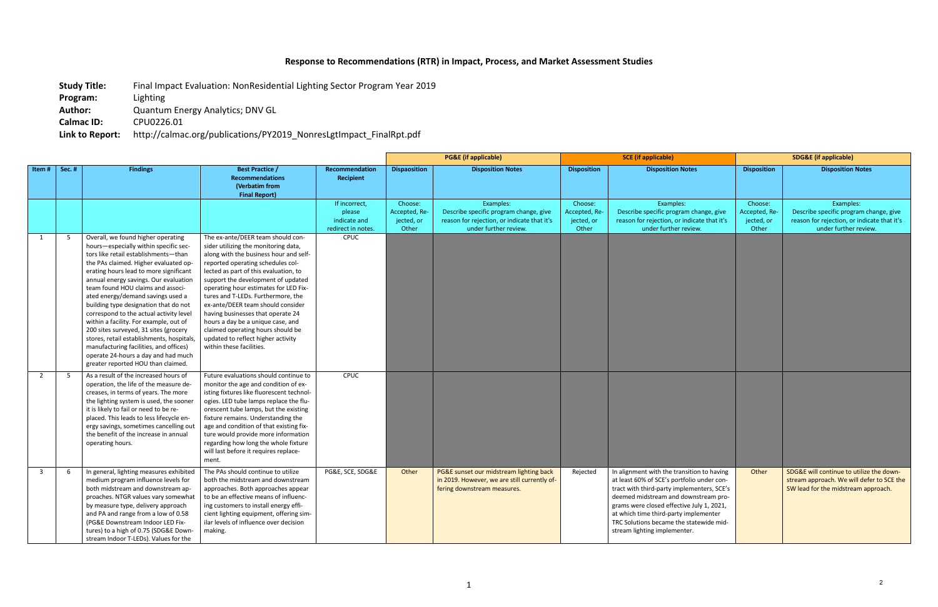## **Response to Recommendations (RTR) in Impact, Process, and Market Assessment Studies**

- **Study Title:** Final Impact Evaluation: NonResidential Lighting Sector Program Year 2019
- **Program:** Lighting
- **Author:** Quantum Energy Analytics; DNV GL
- **Calmac ID:** CPU0226.01

**Link to Report:** http://calmac.org/publications/PY2019\_NonresLgtImpact\_FinalRpt.pdf

|                         |       |                                                                                                                                                                                                                                                                                                                                                                                                                                                                                                                                                                                                                                                                      |                                                                                                                                                                                                                                                                                                                                                                                                                                                                                                                                              |                                                               | <b>PG&amp;E</b> (if applicable)                 |                                                                                                                             | <b>SCE</b> (if applicable)                      |                                                                                                                                                                                                                                                                                                                                                 | <b>SDG&amp;E</b> (if applicable)                |                                                                                                                              |
|-------------------------|-------|----------------------------------------------------------------------------------------------------------------------------------------------------------------------------------------------------------------------------------------------------------------------------------------------------------------------------------------------------------------------------------------------------------------------------------------------------------------------------------------------------------------------------------------------------------------------------------------------------------------------------------------------------------------------|----------------------------------------------------------------------------------------------------------------------------------------------------------------------------------------------------------------------------------------------------------------------------------------------------------------------------------------------------------------------------------------------------------------------------------------------------------------------------------------------------------------------------------------------|---------------------------------------------------------------|-------------------------------------------------|-----------------------------------------------------------------------------------------------------------------------------|-------------------------------------------------|-------------------------------------------------------------------------------------------------------------------------------------------------------------------------------------------------------------------------------------------------------------------------------------------------------------------------------------------------|-------------------------------------------------|------------------------------------------------------------------------------------------------------------------------------|
| Item#                   | Sec.# | <b>Findings</b>                                                                                                                                                                                                                                                                                                                                                                                                                                                                                                                                                                                                                                                      | <b>Best Practice /</b><br><b>Recommendations</b><br>(Verbatim from<br><b>Final Report)</b>                                                                                                                                                                                                                                                                                                                                                                                                                                                   | Recommendation<br><b>Recipient</b>                            | <b>Dispaosition</b>                             | <b>Disposition Notes</b>                                                                                                    | <b>Disposition</b>                              | <b>Disposition Notes</b>                                                                                                                                                                                                                                                                                                                        | <b>Disposition</b>                              | <b>Disposition Notes</b>                                                                                                     |
|                         |       |                                                                                                                                                                                                                                                                                                                                                                                                                                                                                                                                                                                                                                                                      |                                                                                                                                                                                                                                                                                                                                                                                                                                                                                                                                              | If incorrect,<br>please<br>indicate and<br>redirect in notes. | Choose:<br>Accepted, Re-<br>jected, or<br>Other | Examples:<br>Describe specific program change, give<br>reason for rejection, or indicate that it's<br>under further review. | Choose:<br>Accepted, Re-<br>jected, or<br>Other | Examples:<br>Describe specific program change, give<br>reason for rejection, or indicate that it's<br>under further review.                                                                                                                                                                                                                     | Choose:<br>Accepted, Re-<br>jected, or<br>Other | Examples:<br>Describe specific program change, give<br>reason for rejection, or indicate that it's<br>under further review.  |
| 1                       | 5     | Overall, we found higher operating<br>hours-especially within specific sec-<br>tors like retail establishments-than<br>the PAs claimed. Higher evaluated op-<br>erating hours lead to more significant<br>annual energy savings. Our evaluation<br>team found HOU claims and associ-<br>ated energy/demand savings used a<br>building type designation that do not<br>correspond to the actual activity level<br>within a facility. For example, out of<br>200 sites surveyed, 31 sites (grocery<br>stores, retail establishments, hospitals,<br>manufacturing facilities, and offices)<br>operate 24-hours a day and had much<br>greater reported HOU than claimed. | The ex-ante/DEER team should con-<br>sider utilizing the monitoring data,<br>along with the business hour and self-<br>reported operating schedules col-<br>lected as part of this evaluation, to<br>support the development of updated<br>operating hour estimates for LED Fix-<br>tures and T-LEDs. Furthermore, the<br>ex-ante/DEER team should consider<br>having businesses that operate 24<br>hours a day be a unique case, and<br>claimed operating hours should be<br>updated to reflect higher activity<br>within these facilities. | <b>CPUC</b>                                                   |                                                 |                                                                                                                             |                                                 |                                                                                                                                                                                                                                                                                                                                                 |                                                 |                                                                                                                              |
| 2                       | 5     | As a result of the increased hours of<br>operation, the life of the measure de-<br>creases, in terms of years. The more<br>the lighting system is used, the sooner<br>it is likely to fail or need to be re-<br>placed. This leads to less lifecycle en-<br>ergy savings, sometimes cancelling out<br>the benefit of the increase in annual<br>operating hours.                                                                                                                                                                                                                                                                                                      | Future evaluations should continue to<br>monitor the age and condition of ex-<br>isting fixtures like fluorescent technol-<br>ogies. LED tube lamps replace the flu-<br>orescent tube lamps, but the existing<br>fixture remains. Understanding the<br>age and condition of that existing fix-<br>ture would provide more information<br>regarding how long the whole fixture<br>will last before it requires replace-<br>ment.                                                                                                              | CPUC                                                          |                                                 |                                                                                                                             |                                                 |                                                                                                                                                                                                                                                                                                                                                 |                                                 |                                                                                                                              |
| $\overline{\mathbf{3}}$ | -6    | In general, lighting measures exhibited<br>medium program influence levels for<br>both midstream and downstream ap-<br>proaches. NTGR values vary somewhat<br>by measure type, delivery approach<br>and PA and range from a low of 0.58<br>(PG&E Downstream Indoor LED Fix-<br>tures) to a high of 0.75 (SDG&E Down-<br>stream Indoor T-LEDs). Values for the                                                                                                                                                                                                                                                                                                        | The PAs should continue to utilize<br>both the midstream and downstream<br>approaches. Both approaches appear<br>to be an effective means of influenc-<br>ing customers to install energy effi-<br>cient lighting equipment, offering sim-<br>ilar levels of influence over decision<br>making.                                                                                                                                                                                                                                              | PG&E, SCE, SDG&E                                              | Other                                           | PG&E sunset our midstream lighting back<br>in 2019. However, we are still currently of-<br>fering downstream measures.      | Rejected                                        | In alignment with the transition to having<br>at least 60% of SCE's portfolio under con-<br>tract with third-party implementers, SCE's<br>deemed midstream and downstream pro-<br>grams were closed effective July 1, 2021,<br>at which time third-party implementer<br>TRC Solutions became the statewide mid-<br>stream lighting implementer. | Other                                           | SDG&E will continue to utilize the down-<br>stream approach. We will defer to SCE the<br>SW lead for the midstream approach. |